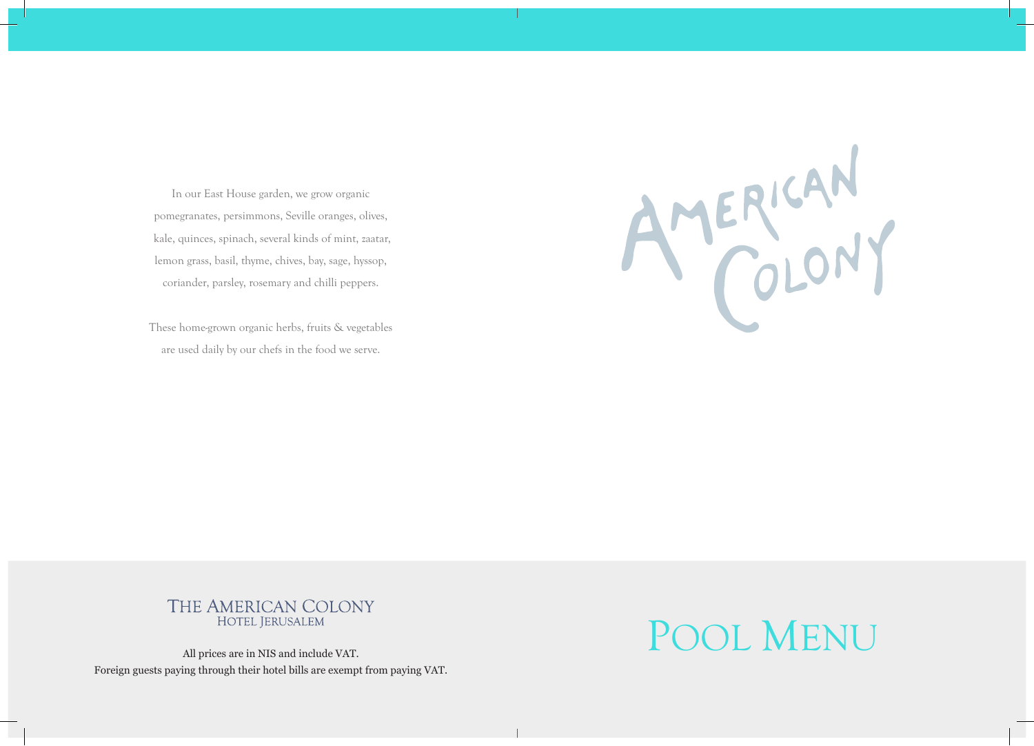In our East House garden, we grow organic pomegranates, persimmons, Seville oranges, olives, kale, quinces, spinach, several kinds of mint, zaatar, lemon grass, basil, thyme, chives, bay, sage, hyssop, coriander, parsley, rosemary and chilli peppers.

These home-grown organic herbs, fruits & vegetables are used daily by our chefs in the food we serve.

AMERICAN

## THE AMERICAN COLONY

Foreign guests paying through their hotel bills are exempt from paying VAT.

## HOTEL JERUSALEM All prices are in NIS and include VAT.